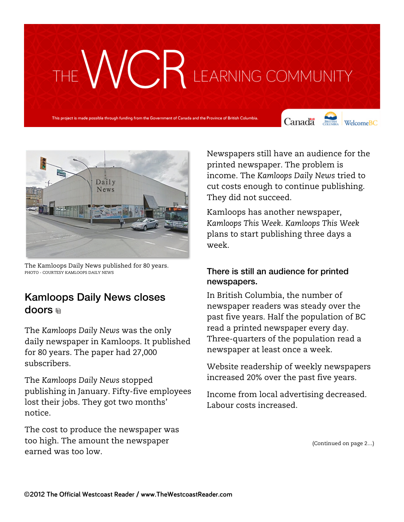# VCR LEARNING COMMUNITY

This project is made possible through funding from the Government of Canada and the Province of British Colu

Canada **Supply** Welcome BC





The Kamloops Daily News published for 80 years. PHOTO - COURTESY KAMLOOPS DAILY NEWS

# Kamloops Daily News closes doors

The *Kamloops Daily News* was the only daily newspaper in Kamloops. It published for 80 years. The paper had 27,000 subscribers.

The *Kamloops Daily News* stopped publishing in January. Fifty-five employees lost their jobs. They got two months' notice.

The cost to produce the newspaper was too high. The amount the newspaper earned was too low.

Newspapers still have an audience for the printed newspaper. The problem is income. The *Kamloops Daily News* tried to cut costs enough to continue publishing. They did not succeed.

Kamloops has another newspaper, *Kamloops This Week*. *Kamloops This Week* plans to start publishing three days a week.

## There is still an audience for printed newspapers.

In British Columbia, the number of newspaper readers was steady over the past five years. Half the population of BC read a printed newspaper every day. Three-quarters of the population read a newspaper at least once a week.

Website readership of weekly newspapers increased 20% over the past five years.

Income from local advertising decreased. Labour costs increased.

(Continued on page 2…)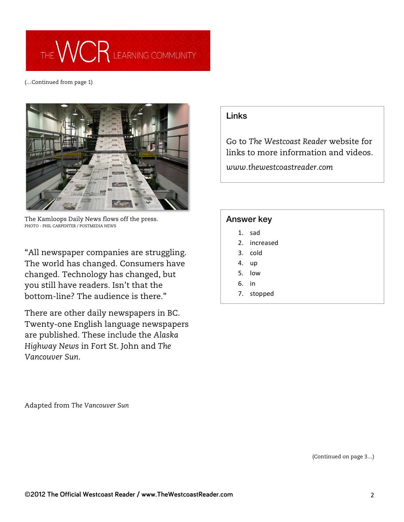

#### (…Continued from page 1)



The Kamloops Daily News flows off the press. PHOTO - PHIL CARPENTER / POSTMEDIA NEWS

"All newspaper companies are struggling. The world has changed. Consumers have changed. Technology has changed, but you still have readers. Isn't that the bottom-line? The audience is there."

There are other daily newspapers in BC. Twenty-one English language newspapers are published. These include the *Alaska Highway News* in Fort St. John and *The Vancouver Sun*.

### Links

Go to *The Westcoast Reader* website for links to more information and videos.

*www.thewestcoastreader.com*

#### Answer key

- 1. sad
- 2. increased
- 3. cold
- 4. up
- 5. low
- 6. in
- 7. stopped

Adapted from *The Vancouver Sun*

(Continued on page 3…)